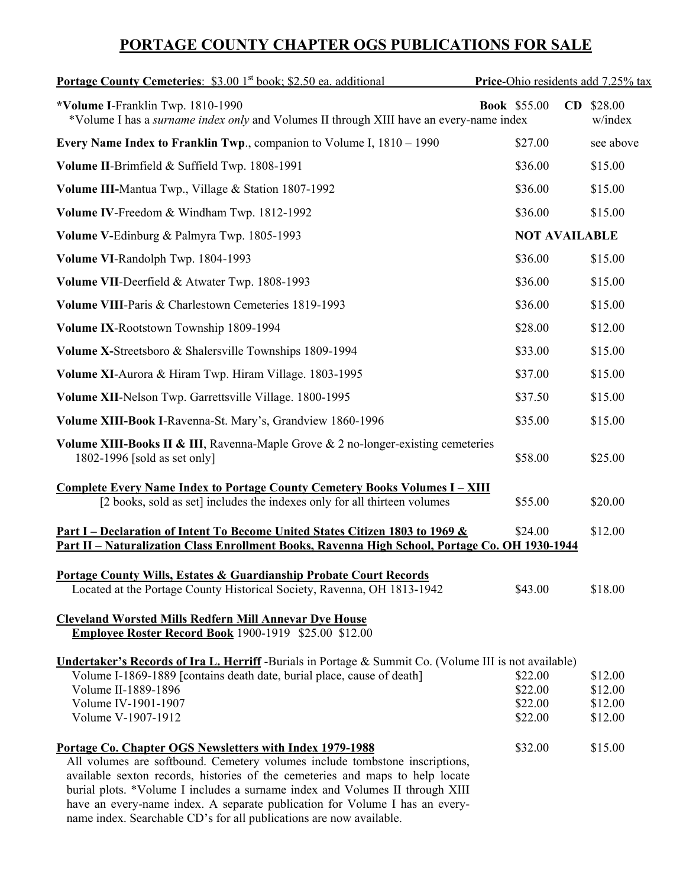## **PORTAGE COUNTY CHAPTER OGS PUBLICATIONS FOR SALE**

| <b>Portage County Cemeteries:</b> \$3.00 1 <sup>st</sup> book; \$2.50 ea. additional                                                                                            | Price-Ohio residents add 7.25% tax |                      |  |
|---------------------------------------------------------------------------------------------------------------------------------------------------------------------------------|------------------------------------|----------------------|--|
| *Volume I-Franklin Twp. 1810-1990<br>*Volume I has a <i>surname index only</i> and Volumes II through XIII have an every-name index                                             | CD<br><b>Book</b> \$55.00          | \$28.00<br>w/index   |  |
| Every Name Index to Franklin Twp., companion to Volume I, 1810 – 1990                                                                                                           | \$27.00                            | see above            |  |
| Volume II-Brimfield & Suffield Twp. 1808-1991                                                                                                                                   | \$36.00                            | \$15.00              |  |
| Volume III-Mantua Twp., Village & Station 1807-1992                                                                                                                             | \$36.00                            | \$15.00              |  |
| Volume IV-Freedom & Windham Twp. 1812-1992                                                                                                                                      | \$36.00                            | \$15.00              |  |
| Volume V-Edinburg & Palmyra Twp. 1805-1993                                                                                                                                      |                                    | <b>NOT AVAILABLE</b> |  |
| Volume VI-Randolph Twp. 1804-1993                                                                                                                                               | \$36.00                            | \$15.00              |  |
| Volume VII-Deerfield & Atwater Twp. 1808-1993                                                                                                                                   | \$36.00                            | \$15.00              |  |
| Volume VIII-Paris & Charlestown Cemeteries 1819-1993                                                                                                                            | \$36.00                            | \$15.00              |  |
| Volume IX-Rootstown Township 1809-1994                                                                                                                                          | \$28.00                            | \$12.00              |  |
| Volume X-Streetsboro & Shalersville Townships 1809-1994                                                                                                                         | \$33.00                            | \$15.00              |  |
| Volume XI-Aurora & Hiram Twp. Hiram Village. 1803-1995                                                                                                                          | \$37.00                            | \$15.00              |  |
| Volume XII-Nelson Twp. Garrettsville Village. 1800-1995                                                                                                                         | \$37.50                            | \$15.00              |  |
| Volume XIII-Book I-Ravenna-St. Mary's, Grandview 1860-1996                                                                                                                      | \$35.00                            | \$15.00              |  |
| <b>Volume XIII-Books II &amp; III, Ravenna-Maple Grove &amp; 2 no-longer-existing cemeteries</b><br>1802-1996 [sold as set only]                                                | \$58.00                            | \$25.00              |  |
| <b>Complete Every Name Index to Portage County Cemetery Books Volumes I - XIII</b><br>[2 books, sold as set] includes the indexes only for all thirteen volumes                 | \$55.00                            | \$20.00              |  |
| Part I – Declaration of Intent To Become United States Citizen 1803 to 1969 &<br>Part II - Naturalization Class Enrollment Books, Ravenna High School, Portage Co. OH 1930-1944 | \$24.00                            | \$12.00              |  |
|                                                                                                                                                                                 |                                    |                      |  |
| <b>Portage County Wills, Estates &amp; Guardianship Probate Court Records</b><br>Located at the Portage County Historical Society, Ravenna, OH 1813-1942                        | \$43.00                            | \$18.00              |  |
| <b>Cleveland Worsted Mills Redfern Mill Annevar Dye House</b><br>Employee Roster Record Book 1900-1919 \$25.00 \$12.00                                                          |                                    |                      |  |
| Undertaker's Records of Ira L. Herriff -Burials in Portage & Summit Co. (Volume III is not available)                                                                           |                                    |                      |  |
| Volume I-1869-1889 [contains death date, burial place, cause of death]                                                                                                          | \$22.00                            | \$12.00              |  |
| Volume II-1889-1896                                                                                                                                                             | \$22.00                            | \$12.00              |  |
| Volume IV-1901-1907                                                                                                                                                             | \$22.00                            | \$12.00              |  |
| Volume V-1907-1912                                                                                                                                                              | \$22.00                            | \$12.00              |  |
| Portage Co. Chapter OGS Newsletters with Index 1979-1988                                                                                                                        | \$32.00                            | \$15.00              |  |
| All volumes are softbound. Cemetery volumes include tombstone inscriptions,                                                                                                     |                                    |                      |  |
| available sexton records, histories of the cemeteries and maps to help locate                                                                                                   |                                    |                      |  |
| burial plots. *Volume I includes a surname index and Volumes II through XIII                                                                                                    |                                    |                      |  |
| have an every-name index. A separate publication for Volume I has an every-                                                                                                     |                                    |                      |  |

name index. Searchable CD's for all publications are now available.